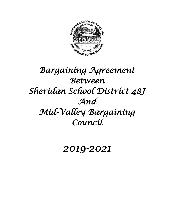

# *Bargaining Agreement Between Sheridan School District 48J And Mid-Valley Bargaining Council*

## *2019-2021*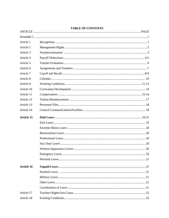| Article 1         |  |
|-------------------|--|
| Article 2         |  |
| Article 3         |  |
| Article 4         |  |
| Article 5         |  |
| Article 6         |  |
| Article 7         |  |
| Article 8         |  |
| Article 9         |  |
| Article 10        |  |
| Article 11        |  |
| Article 12        |  |
| Article 13        |  |
| Article 14        |  |
| <b>Article 15</b> |  |
|                   |  |
|                   |  |
|                   |  |
|                   |  |
|                   |  |
|                   |  |
|                   |  |
|                   |  |
| <b>Article 16</b> |  |
|                   |  |
|                   |  |
|                   |  |
|                   |  |
| Article 17        |  |
| Article 18        |  |

## **TABLE OF CONTENTS**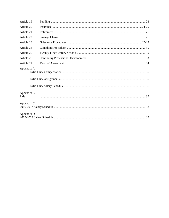| Article 19          |  |
|---------------------|--|
| Article 20          |  |
| Article 21          |  |
| Article 22          |  |
| Article 23          |  |
| Article 24          |  |
| Article 25          |  |
| Article 26          |  |
| Article 27          |  |
| Appendix A          |  |
|                     |  |
|                     |  |
| Appendix B<br>Index |  |
| Appendix C          |  |
| Appendix D          |  |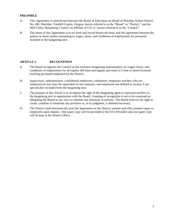#### **PREAMBLE**

- A. This Agreement is entered into between the Board of Education on behalf of Sheridan School District No. 48J, Sheridan, Yamhill County, Oregon, herein referred to as the "Board" or "District," and the Mid-Valley Bargaining Council, an affiliate of O.E.A., herein referred to as the "Council."
- B. The intent of this Agreement is to set forth and record herein the basic and full agreement between the parties on those matters pertaining to wages, hours, and conditions of employment for personnel included in the bargaining unit.

#### **ARTICLE 1- RECOGNITION**

- A. The Board recognizes the Council as the exclusive bargaining representative on wages, hours, and conditions of employment for all regular full-time and regular part-time (1/2 time or more) licensed teaching personnel employed by the District.
- B. Supervisors, administrators, confidential employees, substitutes, temporary teachers who are employed for less than the equivalent of one semester, and employees not defined in section A are specifically excluded from the bargaining unit.
- C. The purpose of this Article is to recognize the right of the bargaining agent to represent teachers in the bargaining unit in negotiations with the Board. Granting of recognition is not to be construed as obligating the Board in any way to continue any functions or policies. The Board reserves the right to create, combine or eliminate any positions as, in its judgment, is deemed necessary.
- D. The District shall electronically post the Agreement on the District website and offer printed copies to employees upon request. One paper copy will be provided to the STA President and one paper copy will be kept at the District Office.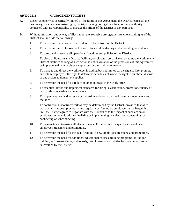## **ARTICLE 2- MANAGEMENT RIGHTS**

- A. Except as otherwise specifically limited by the terms of this Agreement, the District retains all the customary, usual and exclusive rights, decision making prerogatives, functions and authority connected with its responsibility to manage the affairs of the District or any part of it.
- B. Without limitation, but by way of illustration, the exclusive prerogatives, functions and rights of the District shall include the following:
	- 1. To determine the services to be rendered to the patrons of the District.
	- 2. To determine and to follow the District's financial, budgetary and accounting procedures.
	- 3. To direct and supervise all operations, functions and policies of the District.
	- 4. To close or liquidate any District facilities, or relocate, reorganize or combine the work in any District facilities so long as such action is not in violation of the provisions of this Agreement or implemented in an arbitrary, capricious or discriminatory manner.
	- 5. To manage and direct the work force, including but not limited to, the right to hire, promote and retain employees; the right to determine schedules of work; the right to purchase, dispose of and assign equipment or supplies.
	- 6. To determine the need for a reduction or an increase in the work force.
	- 7. To establish, revise and implement standards for hiring, classification, promotion, quality of work, safety, materials and equipment.
	- 8. To implement new and to revise or discard, wholly or in part, old materials, equipment and facilities.
	- 9. To contract or subcontract work as may be determined by the District, provided that as to work which has been previously and regularly performed by employees in the bargaining unit, the District agrees to negotiate with the Council as to the impact of such action on employees in the unit prior to finalizing or implementing new decisions concerning such contracting or subcontracting.
	- 10. To designate and to assign all places to work. To determine the qualifications of new employees, transfers, and promotions.
	- 11. To determine the need for the qualifications of new employees, transfers, and promotions.
	- 12. To determine the need for additional educational courses, training programs, on-the-job training, and cross-training and to assign employees to such duties for such periods to be determined by the District.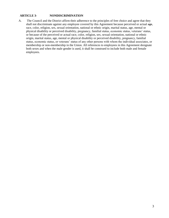## **ARTICLE 3- NONDISCRIMINATION**

A. The Council and the District affirm their adherence to the principles of free choice and agree that they shall not discriminate against any employee covered by this Agreement because perceived or actual age, race, color, religion, sex, sexual orientation, national or ethnic origin, marital status, age, mental or physical disability or perceived disability, pregnancy, familial status, economic status, veterans' status, or because of the perceived or actual race, color, religion, sex, sexual orientation, national or ethnic origin, marital status, age, mental or physical disability or perceived disability, pregnancy, familial status, economic status, or veterans' status of any other persons with whom the individual associates, or membership or non-membership in the Union. All references to employees in this Agreement designate both sexes and when the male gender is used, it shall be construed to include both male and female employees.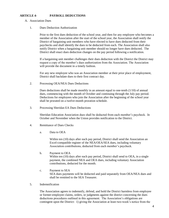#### **ARTICLE 4- PAYROLL DEDUCTIONS**

- A. Association Dues
	- 1. Dues Deduction Authorization

Prior to the first dues deduction of the school year, and then for any employee who becomes a member of the Association after the start of the school year, the Association shall notify the District of bargaining unit members who have elected to have dues deducted from their paychecks and shall identify the dues to be deducted from each. The Association shall also notify District when a bargaining unit member should no longer have dues deducted. The District shall enact dues deduction changes on the pay period following a notification.

If a bargaining unit member challenges their dues deduction with the District the District may request a copy of the member's dues authorization from the Association. The Association will provide the document in a timely fashion.

For any new employee who was an Association member at their prior place of employment, District shall backdate dues to their first contract day.

2. Processing OEA/NEA Dues Deductions

Dues deductions shall be made monthly in an amount equal to one-tenth (1/10) of annual dues, commencing with the month of October and continuing through the July pay period. Deductions for employees who join the Association after the beginning of the school year shall be prorated on a twelve-month proration schedule.

3. Processing Sheridan EA Dues Deductions

Sheridan Education Association dues shall be deducted from each member's paycheck. In October and November when the Union provides notification to the District.

- 4. Remittance of Dues Checks
	- a. Data to OEA

Within ten (10) days after each pay period, District shall send the Association an Excel-compatible register of the NEA/OEA/SEA dues, including voluntary Association contributions, deducted from each member's paycheck.

- b. Payment to OEA Within ten (10) days after each pay period, District shall send to OEA, in a single payment, the combined NEA and OEA dues, including voluntary Association contributions, deducted for the month.
- c. Payment to SEA SEA dues payments will be deducted and paid separately from OEA/NEA dues and shall be remitted to the SEA Treasurer.
- 5. Indemnification

The Association agrees to indemnify, defend, and hold the District harmless from employee or former-employee claims, orders, or judgments against the district concerning the dues deductions procedures outlined in this agreement. The Association's obligations are contingent upon the District: 1) giving the Association at least two-week's notice from the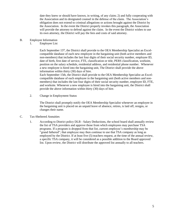date they knew or should have known, in writing, of any claim; 2) and fully cooperating with the Association and its designated counsel in the defense of the claim. The Association's obligation does not extend to criminal allegations or actions brought against the District by the Association. In the event the District properly invokes this paragraph, the Association will provide the attorney to defend against the claim. In the event the District wishes to use its own attorney, the District will pay the fees and costs of said attorney.

- B. Employee Information
	- 1. Employee List

Each September 15<sup>th</sup>, the District shall provide to the OEA Membership Specialist an Excelcompatible database of each new employee in the bargaining unit (both active members and non-members) that includes the last four digits of their social security number, employee ID, date of birth, first date of service, FTE, classification or title, PERS classification, worksite, position on the salary schedule, residential address, and residential phone number. Whenever a new employee is hired into the bargaining unit, The District shall provide the above information within thirty (30) days of hire.

Each September 15th, the District shall provide to the OEA Membership Specialist an Excelcompatible database of each employee in the bargaining unit (both active members and nonmembers) that includes the last four digits of their social security number, employee ID, FTE, and worksite. Whenever a new employee is hired into the bargaining unit, the District shall provide the above information within thirty (30) days of hire.

2. Change in Employment Status

The District shall promptly notify the OEA Membership Specialist whenever an employee in the bargaining unit is placed on an unpaid leave of absence, retires, is laid off, resigns, or changes their name.

- C. Tax-Sheltered Annuities
	- 1. According to District policy DLB Salary Deductions, the school board shall annually review the list of TSA providers and approve those from which employees may purchase TSA programs. If a program is dropped from that list, current employee's membership may be "grand fathered"; that employee may then continue to use that TSA company as long as employed by the District. If at least five (5) teachers request, at the time of the annual review, a specific TSA company, it will be considered as a possible addition to the Board approved list. Upon review, the District will distribute the approved list annually to all teachers.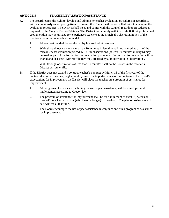## **ARTICLE 5- TEACHER EVALUATION/ASSISTANCE**

- A. The Board retains the right to develop and administer teacher evaluation procedures in accordance with its previously stated prerogatives. However, the Council will be consulted prior to changing the evaluation procedures. The District shall meet and confer with the Council regarding procedures as required by the Oregon Revised Statutes. The District will comply with ORS 342.850. A professional growth option may be utilized for experienced teachers at the principal's discretion in lieu of the traditional observation/evaluation model.
	- 1. All evaluations shall be conducted by licensed administrators.
	- 2. Walk through observations (less than 10 minutes in length) shall not be used as part of the formal teacher evaluation procedure. Mini observations (at least 10 minutes in length) may be used as part of the formal teacher evaluation procedure. Forms used for evaluation will be shared and discussed with staff before they are used by administration in observations.
	- 3. Walk through observations of less than 10 minutes shall not be housed in the teacher's District personnel file.
- B. If the District does not extend a contract teacher's contract by March 15 of the first year of the contract due to inefficiency, neglect of duty, inadequate performance or failure to meet the Board's expectations for improvement, the District will place the teacher on a program of assistance for improvement.
	- 1. All programs of assistance, including the use of peer assistance, will be developed and implemented according to Oregon law.
	- 2. The program of assistance for improvement shall be for a minimum of eight (8) weeks or forty (40) teacher work days (whichever is longer) in duration. The plan of assistance will be reviewed at that time.
	- 3. The Board encourages the use of peer assistance in conjunction with a program of assistance for improvement.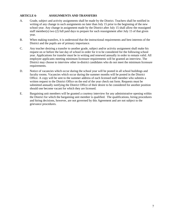#### **ARTICLE 6- ASSIGNMENTS AND TRANSFERS**

- A. Grade, subject and activity assignments shall be made by the District. Teachers shall be notified in writing of any change in such assignments no later than July 15 prior to the beginning of the new school year. Any change in assignment made by the District after July 15 shall allow the reassigned staff member(s) two (2) full paid days to prepare for such reassignment after July 15 of that given year.
- B. When making transfers, it is understood that the instructional requirements and best interests of the District and the pupils are of primary importance.
- C. Any teacher desiring a transfer to another grade, subject and/or activity assignment shall make his request on or before the last day of school in order for it to be considered for the following school year. Applications for transfer must be in writing and renewed annually in order to remain valid. All employee applicants meeting minimum licensure requirements will be granted an interview. The District may choose to interview other in-district candidates who do not meet the minimum licensure requirements.
- D. Notice of vacancies which occur during the school year will be posted in all school buildings and faculty rooms. Vacancies which occur during the summer months will be posted in the District Office. A copy will be sent to the summer address of each licensed staff member who submits a written request to the District Office on the end of the year check out form. Requests must be submitted annually notifying the District Office of their desire to be considered for another position should one become vacant for which they are licensed.
- E. Bargaining unit members will be granted a courtesy interview for any administrative opening within the District for which the bargaining unit member is qualified. The qualifications, hiring procedures and hiring decisions, however, are not governed by this Agreement and are not subject to the grievance procedures.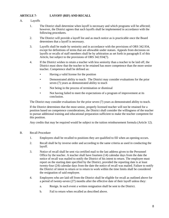## **ARTICLE 7- LAYOFF (RIF) AND RECALL**

#### A. Layoffs

- 1. The District shall determine when layoff is necessary and which programs will be affected; however, the District agrees that such layoffs shall be implemented in accordance with the following procedures.
- 2. The District will provide a layoff list and as much notice as is practicable once the Board determines that a layoff is necessary.
- 3. Layoffs shall be made by seniority and in accordance with the provisions of ORS 342.934, except for definitions of terms that are allowable under statues. Appeals from decisions on layoffs or recalls of staff members shall be by arbitration as set forth in paragraph E of this Article, but subject to the provisions of ORS 342.934(7).
- 4. If the District wishes to retain a teacher with less seniority than a teacher to be laid off, the District must show that the teacher to be retained has more competence than the more senior teacher. Competence shall be defined as:
	- Having a valid license for the position
	- Demonstrated ability to teach: The District may consider evaluations for the prior seven (7) years as demonstrated ability to teach
	- Not being in the process of termination or dismissal
	- Not having failed to meet the expectations of a program of improvement at its conclusion.

The District may consider evaluations for the prior seven (7) years as demonstrated ability to teach.

If the District determines that the most senior, properly licensed teacher will not be retained for a position based on competence considerations, the District shall consider the willingness of the teacher to pursue additional training and educational preparation sufficient to make the teacher competent for this position.

Any credits that may be required would be subject to the tuition reimbursement formula (Article 12).

#### B. Recall Procedure

- 1. Employees shall be recalled to positions they are qualified to fill when an opening occurs.
- 2. Recall shall be by inverse order and according to the same criteria as used in conducting the layoff.
- 3. Notice of recall shall be sent via certified mail to the last address given to the Personnel Office by the teacher. A teacher shall have fourteen (14) calendar days from the date the notice of recall was mailed to notify the District of his intent to return. The employee must report on the starting date specified by the District, provided the reporting date is at least twenty-four (24) calendar days from the date the notice of recall was mailed. Failure to notify the District of intent to return or to return to work within the time limits shall be considered the resignation of said employee.
- 4. Employees who are laid off from the District shall be eligible for recall as outlined above for a period of twenty-seven (27) months after the effective date of their layoff unless they:
	- a. Resign. In such event a written resignation shall be sent to the District.
	- b. Fail to return when recalled as described above.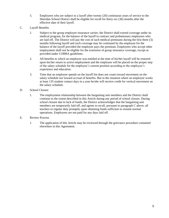- 5. Employees who are subject to a layoff after twenty (20) continuous years of service to the Sheridan School District shall be eligible for recall for thirty-six (36) months after the effective date of their layoff.
- C. Layoff Benefits
	- 1. Subject to the group employee insurance carrier, the District shall extend coverage under its medical program, for the balance of the layoff to contract and probationary employees who are laid off. The District will pay the cost of such medical premiums during the first three (3) months following layoff and such coverage may be continued by the employee for the balance of the layoff provided the employee pays the premium. Employees who accept other employment shall not be eligible for the extension of group insurance coverage, except as provided under COBRA guidelines.
	- 2. All benefits to which an employee was entitled at the time of his/her layoff will be restored upon his/her return to active employment and the employee will be placed on the proper step of the salary schedule for the employee's current position according to the employee's experience and education.
	- 3. Time that an employee spends on the layoff list does not count toward movement on the salary schedule nor toward accrual of benefits. But in the situation where an employee works at least 135 student contact days in a year he/she will receive credit for vertical movement on the salary schedule.

#### D. School Closure

1. The employment relationship between the bargaining unit members and the District shall continue to the extent described in this Article during any period of school closure. During school closure due to lack of funds, the District acknowledges that the bargaining unit members are temporarily laid off, and agrees to recall, pursuant to paragraph C above, all teachers to regular duty promptly upon obtaining funds sufficient to resume normal operations. Employees are not paid for any days laid off.

#### E. Review Process

1. The application of this Article may be reviewed through the grievance procedure contained elsewhere in this Agreement.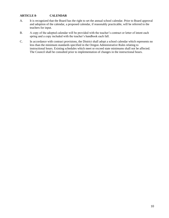## **ARTICLE 8- CALENDAR**

- A. It is recognized that the Board has the right to set the annual school calendar. Prior to Board approval and adoption of the calendar, a proposed calendar, if reasonably practicable, will be referred to the teachers for input.
- B. A copy of the adopted calendar will be provided with the teacher's contract or letter of intent each spring and a copy included with the teacher's handbook each fall.
- C. In accordance with contract provisions, the District shall adopt a school calendar which represents no less than the minimum standards specified in the Oregon Administrative Rules relating to instructional hours. Existing schedules which meet or exceed state minimums shall not be affected. The Council shall be consulted prior to implementation of changes in the instructional hours.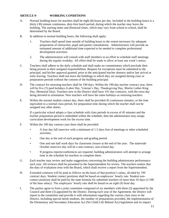## **ARTICLE 9- WORKING CONDITIONS**

- A. Normal building hours for teachers shall be eight (8) hours per day. Included in the building hours is a thirty (30) minute continuous, duty-free lunch period, during which the teacher may leave the building. The starting times and dismissal times, which may vary from school to school, shall be determined by the Board.
- B. In addition to normal building hours, the following shall apply:
	- 1. Teachers shall spend time outside of building hours to the extent necessary for adequate preparation of instruction, pupil and parent consultations. Administrators will provide an estimated amount of additional time expected to be needed to complete professional development activities.
	- 2. The administration will consult with staff members in an effort to schedule staff meetings during the regular workday. All effort shall be made to allow at least one week's notice.
- C. Teachers shall adhere to the daily schedule and shall make no commitments which preclude their being present in their assigned responsibilities. Request for exceptions must be submitted to the principal, and his/her approval granted, prior to the anticipated teacher absence and/or late arrival or early leaving. Teachers shall not leave the buildings to which they are assigned during class or preparation periods without the consent of the building principal.
- D. The contract for returning teachers shall be 190 days. Within the 190-day teacher contract year, there will be five (5) paid holidays (Labor Day, Veteran's Day, Thanksgiving Day, Martin Luther King Day, Memorial Day). Teachers new to the District shall have 191-day contracts, with the extra day being devoted to orientation. New teachers will have the same holidays as returning teachers.
- E. Within the normal student contact day, there shall be provided 45 continuous minutes, or the time equivalent to a normal class period, for preparation time during which the teacher shall not be assigned any other duties.

If a particular school adopts a class schedule with class periods in excess of 45 minutes and the teacher preparation period is embedded within the schedule, then the administrator may assign curriculum development work for the excess time.

- F. Within the 190 day contract year there shall be provided:
	- A four day fall inservice with a minimum of 1.5 days free of meetings or other scheduled activities.
	- One day at the end of each progress and grading period.
	- One and one half work days for classroom closure at the end of the year. The statewide October inservice day will be a non-contract, non-school day.
	- If progress reports/conferences are required, building administrators will attempt to arrange time in the schedule for teachers to complete them.
- G. Each teacher may review and make suggestions concerning the building administrator performance each year. All reviews shall be presented to the Superintendent for review. The teachers realize that the duty of evaluation rests with the Board, which shall receive a report from the Superintendent.
- H. Extended contracts will be paid as follows on the basis of that position's salary, divided by 190 contract days. Student contact positions shall be based on employees' hourly rate. Student noncontact positions shall be paid by the state formula for substitute teachers of more than 10 days (1/190 of the base salary). The employees' hourly rate shall be based on an eight (8) hour day.
- I. The parties agree to form a joint committee composed of six members with three (3) appointed by the Council and three (3) appointed by the District. During each year of the Agreement, the District will report to the committee and provide it with information regarding the various class sizes in the District, including special needs students, the number of preparations provided, the implementation of the Elementary and Secondary Education Act (No Child Life Behind Act) legislation and its impact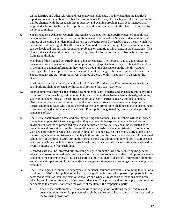on the District, and other relevant and reasonably available data. It is intended that the District's report will occur on or about October 1 and on or about February 1 of each year. The joint committee will be charged with the responsibility to identify and examine problem areas. It is intended that suggested solutions to the identified problems would be recommended to the Board of Directors by the joint committee.

J. Superintendent's Advisory Council: The Advisory Council for the Superintendent of Schools has been organized on the premise that the multiple responsibilities of the Superintendent and the best interest of the entire Sheridan School system can be better served by establishing a means which will permit the best thinking of all staff members. A more direct and meaningful line of communication can be developed through this Council on problems or conditions which exist in the classrooms. The Council does and should provide for a two-way flow of information and effective action resulting from group thinking.

Members of this Council act strictly in an advisory capacity. Their objective is to gather ideas, to present reactions of personnel, to express opinions, to interpret school policy to other staff members in the light of detailed information they receive through the discussions in the monthly Council meetings. The Council provides for a frank and honest exchange of facts and opinions between the Superintendent and staff representatives. Minutes of these monthly meetings will be sent to the Board.

In addition to the Superintendent and the local Council President, one (1) classroom teacher from each building shall be selected by the Council to serve for a two-year term.

- K. District employees may use the district's technology to learn, practice and enhance technology skills to be used in their teaching assignments. This use shall not otherwise interfere with assigned duties, waste or endanger (misuse) district resources or violate any district standard, implied or stated. District employees are not permitted to conduct or run any private or commercial enterprise on district equipment. Staff who violate general system user prohibitions shall be subject to discipline up to and including dismissal in accordance with Board policy, negotiated agreements and applicable provisions of law.
- L. The District shall provide a safe and healthy working environment. Unit members will be informed immediately upon district knowledge when they are potentially exposed to contagious diseases or environment hazards as prescribed by law and delineated by policy. They shall be instructed as to prevention and protection from the disease, illness, or hazards. If the administration in conjunction with law enforcement deems that a credible threat of violence against the school, staff, students, or themselves, school administrators will notify building staff of the threat before the start of the normal school day. If the threat occurs during the normal school day administration will notify staff as soon as it can, which may include during instructional time, to ensure staff can keep students, staff, and the overall building safe from such threat.
- M. Licensed staff shall be informed prior to being assigned student(s) who are reentering the general education classroom immediately from a more restrictive environment and that could present a safety problem to the students or staff. Licensed staff shall be provided with specific information about the known behavior pattern(s) of the student(s) and suggested strategies and trainings for managing those behaviors.
- N. The District agrees to reimburse employees for personal insurance deductible amount up to \$300 or a maximum of \$300 to be applied to the loss or damage if not insured when personal property is lost or damaged as result of theft, accident, or vandalism and when all reasonable precautions have been taken by employee to safeguard against loss or damage. This provision does not apply to automobile accidents or to accidents for which the owner of the item is the responsible party.
	- 1. The District shall promote reasonable rules and regulations outlining the procedures and documentation needed for payment of a reimbursable claim. Those rules shall be governed by the following provisions: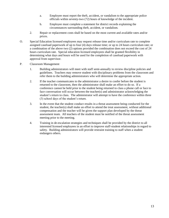- a. Employee must report the theft, accident, or vandalism to the appropriate police officials within seventy-two (72) hours of knowledge of the incident.
- b. Employee must complete a statement for district records explaining the circumstances surrounding theft, accident, or vandalism.
- 2. Repair or replacement costs shall be based on the most current and available rates and/or prices.
- O. Special Education licensed employees may request release time and/or curriculum rate to complete assigned caseload paperwork of up to four (4) days release time; or up to 24 hours curriculum rate; or a combination of the above two (2) options provided the combination does not exceed the cost of 24 hours curriculum rate. Special education licensed employees shall be granted flexibility in determining what days and hours will be used for the completion of caseload paperwork with approval from supervisor.
- P. Classroom Management
	- 1. Building administrators will meet with staff semi-annually to review discipline policies and guidelines. Teachers may remove student with disciplinary problems from the classroom and refer them to the building administrators who will determine the appropriate action.
	- 2. If the teacher communicates to the administrator a desire to confer before the student is returned to the classroom, then the administrator shall make an effort to do so. If a conference cannot be held prior to the student being returned to class a phone call or face to face conversation will occur between the teacher(s) and administrator acknowledging the student's return to class. The administrator will attempt to have the conference within three (3) school days of the student's return.
	- 3. In the event that the student conduct results in a threat assessment being conducted for the student, the teacher(s) shall make an effort to attend the treat assessment, without additional compensation and the teacher will be given the support plan developed by the threat assessment team. All teachers of the student must be notified of the threat assessment meeting prior to the meeting.
	- 4. Training in de-escalation strategies and techniques shall be provided by the district to all interested licensed employees in an effort to improve staff-student relationships in regard to safety. Building administrators will provide restraint training to staff when a student endangers others.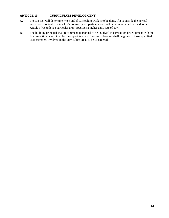## **ARTICLE 10 - CURRICULUM DEVELOPMENT**

- A. The District will determine when and if curriculum work is to be done. If it is outside the normal work day or outside the teacher's contract year, participation shall be voluntary and be paid as per Article  $9(H)$ , unless a particular grant specifies a higher daily rate of pay.
- B. The building principal shall recommend personnel to be involved in curriculum development with the final selection determined by the superintendent. First consideration shall be given to those qualified staff members involved in the curriculum areas to be considered.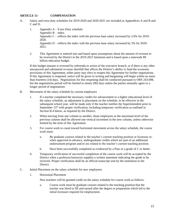## **ARTICLE 11- COMPENSATION**

- A. Salary and extra duty schedules for 2019-2020 and 2020-2021 are included as Appendices A and B and C and D.
	- 1. Appendix A Extra Duty schedule. Appendix  $B$  – index. Appendix  $C$  – reflects the index with the previous base salary increased by 2.6% for 2019-2020. Appendix  $D$  – reflects the index with the previous base salary increased by 3% for 2020-2021.
	- 2. This Agreement is entered into and based upon assumptions about the amount of revenue to be received by the District in the 2019-2021 biennium and is based upon a statewide \$9 billion education budget.

If this budget amount is reversed by referenda or action of the executive branch, or if there is any other unexpected and substantial revenue shortfall that affects the District's ability to fund the economic provisions of this Agreement, either party may elect to reopen this Agreement for further negotiations. If this Agreement is reopened, notice will be given in writing and bargaining will begin within no more than fourteen (14) days. Negotiations for this reopening shall be conducted pursuant to ORS 243.698, but the negotiations period will be limited to ninety (90) days unless the parties mutually agree to a longer period of negotiations

- B. Movement of the salary schedule by current employees
	- 1. If a teacher completed the necessary credits for advancement to a higher educational level of the salary schedule, an adjustment in placement on the schedule, to be effective in the subsequent school year, will be made only if the teacher notifies the Superintendent prior to September  $15<sup>th</sup>$  with proper verification, including temporary verification as outlined in Section B.4 below, as required by the District.
	- 2. When moving from one column to another, those employees at the maximum level of the previous column shall be allowed one vertical increment in the new column, unless otherwise limited by the term of this Agreement.
	- 3. For course work to count toward horizontal movement across the salary schedule, the course work must:
		- a. Be graduate courses related to the teacher's current teaching position or licensure or, when approved in advance, undergraduate credits which are part of an additional endorsement program and/or are related to the teacher's current teaching position.
		- b. Have been successfully completed as evidenced by a Pass or a grade of C or better.
	- 4. Temporary verification of successful completion of the course work will be accepted by the District when a professor/instructor supplies a written statement indicating the grade to be received. Proper verification shall be an official transcript sent by the institution to the District.
- C. Initial Placement on the salary schedule for new employees
	- 1. Horizontal Placement

New teachers will be granted credit on the salary schedule for course work as follows:

a. Course work must be graduate courses related to the teaching position that the teacher was hired to fill and earned after the degree or preparation which led to the initial licensure required for employment.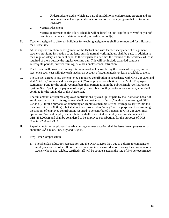- b. Undergraduate credits which are part of an additional endorsement program and are not courses which are general education and/or part of a program that led to initial licensure.
- 2. Vertical Placement

Vertical placement on the salary schedule will be based on one step for each verified year of teaching experience in state or federally accredited school(s).

- D. Teachers assigned to different buildings for teaching assignments shall be reimbursed for mileage at the District rate.
- E. At the express direction or assignment of the District and with teacher acceptance of assignment, teachers providing instruction to students outside normal working hours shall be paid, in addition to their regular salary, an amount equal to their regular salary times the fraction of the workday which is required of them outside the regular working day. This will not include extended contracts, zero/eighth periods, driver's training, or other nonclassroom instruction.
- F. The District will provide a running total of unused sick leave during the course of the year, and at least once each year will give each teacher an account of accumulated sick leave available to them.
- G. The District agrees to pay the employee's required contribution in accordance with ORS 238.200; and shall "pickup," assume and pay six percent (6%) employee contribution to the Public Employee Retirement Fund for the employee members then participating in the Public Employee Retirement System. Such "pickup" or payment of employee member monthly contributions to the system shall continue for the remainder of this Agreement.

The full amount of required employee contributions "picked up" or paid by the District on behalf of employees pursuant to this Agreement shall be considered as "salary" within the meaning of ORS 238.005(2) for the purposes of computing an employee member's "final average salary" within the meaning of ORS 238.005(8) but shall not be considered as "salary" for the purposes of determining the amount of employee contributions required to be contributed pursuant to ORS 238.200. Such "picked-up" or paid employee contributions shall be credited to employee accounts pursuant to ORS 238.200(2) and shall be considered to be employee contributions for the purposes of ORS Chapters 238 and 238A.

- H. Payroll checks for employees' payable during summer vacation shall be issued to employees on or about the  $25<sup>th</sup>$  day of June, July and August.
- I. Prep Time Compensation
	- 1. The Sheridan Education Association and the District agree that, due to a desire to compensate employees for loss of a full prep period or combined classes due to covering the class or another teacher who is unavailable, certified staff will be compensated at the rate of \$40 per occurrence.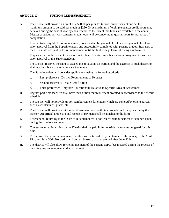## **ARTICLE 12- TUITION REIMBURSEMENT**

A. The District will provide a sum of \$17,500.00 per year for tuition reimbursement and set the maximum amount to be paid per credit at \$280.00. A maximum of eight (8) quarter credit hours may be taken during the school year by each teacher, to the extent that funds are available in the annual District contribution. Any semester credit hours will be converted to quarter hours for purposes of computation.

In order to be eligible for reimbursement, courses shall be graduate level or undergraduate level with prior approval from the Superintendent, and successfully completed with passing grades. Staff new to the District do not qualify for reimbursement until the first college term following employment

Requests for reimbursement for classes not related to a staff member's current assignment must have prior approval of the Superintendent.

The District reserves the right to exceed this total at its discretion, and the exercise of such discretion shall not be subject to the Grievance Procedure.

The Superintendent will consider applications using the following criteria:

- a. First preference District Requirements or Request
- b. Second preference State Certification
- c. Third preference Improve Educationally Relative to Specific Area of Assignment
- B. Regular part-time teachers shall have their tuition reimbursement prorated in accordance to their work schedule.
- C. The District will not provide tuition reimbursement for classes which are covered by other sources, such as scholarships, grants, etc.
- D. The District will provide a tuition reimbursement form outlining procedures for application by the teacher. An official grade slip and receipt of payment shall be attached to the form.
- E. Teachers not returning to the District in September will not receive reimbursement for courses taken during the previous summer.
- F. Courses required in writing by the District shall be paid in full outside the monies budgeted for this fund.
- G To receive District reimbursement, credits must be turned in by September 15th, January 15th, April 15th, and June 30th. No credits will be reimbursed that are received after June 30th.
- H. The district will also allow for reimbursement of the current TSPC fees incurred during the process of receiving any endorsement at district request.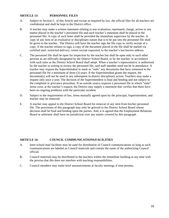#### **ARTICLE 13- PERSONNEL FILES**

- A. Subject to Section C. of this Article and except as required by law, the official files for all teachers are confidential and shall be kept in the District office.
- B. A teacher may make a written statement relating to any evaluation, reprimand, charge, action or any matter placed in the teacher's personnel file and such teacher's statement shall be placed in the personnel file. A copy of such letter shall be provided the immediate supervisor by the teacher. A copy of any item of an evaluative or disciplinary nature that is to be put into the personnel file shall be given to the teacher. The District will have the teacher sign the file copy to verify receipt of a copy. If the teacher refuses to sign, a copy of the document placed in the file shall be mailed via certified mail, restricted delivery, return receipt requested, to the teacher's last known address.
- C. The personnel file shall be open for inspection by the teacher but shall be open only to such other persons as are officially designated by the District School Board, or by the teacher, in accordance with such rules as the District School Board shall adopt. When a teacher's representative is authorized by the teacher in writing to review the personnel file, said staff member need not be in attendance. A teacher may request the Superintendent to mark as "stale" any documents that have remained in the personnel file for a minimum of three (3) years. If the Superintendent grants the request, the document(s) will not be used in any subsequent in-district disciplinary action. Teachers may make a request only once a year. The decision of the Superintendent is final and binding and not subject to the complaint or grievance procedure. If an outside source requests a personnel file in which "stale" items exist, at the teacher's request, the District may supply a statement that verifies that there have been no ongoing problems with the particular incident.
- D. Subject to the requirements of law, items mutually agreed upon by the principal, Superintendent, and teacher may be removed.
- E. A teacher may appeal to the District School Board for removal of any item from his/her personnel file. The provisions of this paragraph may only be grieved to the District School Board whose decision shall be final and binding upon the parties. And, it is agreed that the Employment Relations Board or arbitrator shall have no jurisdiction over any matter covered by this paragraph.

#### **ARTICLE 14- COUNCIL COMMUNICATIONS/FACILITIES**

- A. Inter-school mail facilities may be used for distribution of Council communications so long as such communications are labeled as Council materials and contain the name of the authorizing Council official.
- B. Council materials may be distributed to the teachers within the immediate building at any time with the proviso that this does not interfere with teaching responsibilities.
- C. Council members may make brief announcements at faculty meetings if time permits.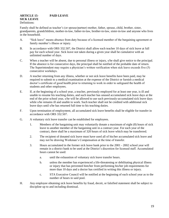#### **ARTICLE 15- PAID LEAVE SICK LEAVE** Definitions:

Family shall be defined as teacher's (or spouse/partner) mother, father, spouse, child, brother, sister, grandparents, grandchildren, mother-in-law, father-in-law, brother-in-law, sister-in-law and anyone who lives in the household.

- A. "Sick leave" means absence from duty because of a licensed member of the bargaining agreement or family member's illness or injury.
- B. In accordance with ORS 332.507, the District shall allow each teacher 10 days of sick leave at full pay for each school year. Sick leave not taken during a given year shall be cumulative with an unlimited number of days.
- C. When a teacher will be absent, due to personal illness or injury, s/he shall give notice to the principal. If the absence is for consecutive days, the principal shall be notified of the probable date of return. The Superintendent may require a physician's written verification when sick leave exceeds five (5) consecutive workdays.
- D. A teacher returning from any illness, whether or not sick leave benefits have been paid, may be required to submit to a medical examination at the expense of the District or furnish a medical doctor's certificate of good health prior to returning to work in order to safeguard the health of students and other employees.
- E. If, at the beginning of a school year, a teacher, previously employed for at least one year, is ill and unable to resume his teaching duties, and such teacher has unused accumulated sick leave days at the end of the prior school year, s/he will be allowed to use such previously-accumulated sick leave days while s/he remains ill and unable to work. Such teacher shall not be credited with additional sick leave days until s/he has returned full time to his teaching duties.
- F. Upon termination of employment, all accumulated sick leave benefits shall be eligible for transfer in accordance with ORS 332.507.
- G. A voluntary sick leave transfer can be established for employees.
	- 1. Members of the bargaining unit may voluntarily donate a maximum of eight (8) hours of sick leave to another member of the bargaining unit in a contract year. For each year of the contract, there shall be a maximum of 320 hours of sick leave which may be transferred.
	- 2. The recipient of donated sick leave must have used all of his/her accumulated sick leave and may not be drawing Workman's Compensation at the time of transfer.
	- 3. Hours accumulated in the former sick leave bank prior to the 2001 2002 school year will remain in a district bank to be used at the District's discretion for licensed staff. Accumulated hours cannot be used:
		- a. until the exhaustion of voluntary sick leave transfer hours.
		- b. unless the member has experienced a life-threatening or debilitating physical illness or injury that has prevented him/her from performing his/her job requirements for more than 10 days and a doctor has certified in writing this illness or injury.
		- c. STA Executive Council will be notified at the beginning of each school year as to the number of hours in said pool.
- H. Any employee obtaining sick leave benefits by fraud, deceit, or falsified statement shall be subject to discipline up to and including dismissal.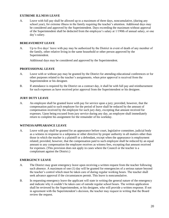#### **EXTREME ILLNESS LEAVE**

A. Leave with full pay shall be allowed up to a maximum of three days, noncumulative, (during any school year), for extreme illness in the family requiring the teacher's attention. Additional days may be considered and approved by the Superintendent. Days exceeding the maximum without approval of the Superintendent shall be deducted from the employee's salary at 1/190th of annual salary, or one day's salary.

#### **BEREAVEMENT LEAVE**

A. Up to five days' leave with pay may be authorized by the District in event of death of any member of the family, other relative living in the same household or other person approved by the Superintendent.

Additional days may be considered and approved by the Superintendent.

#### **PROFESSIONAL LEAVE**

- A. Leave with or without pay may be granted by the District for attending educational conferences or for other purposes related to the teacher's assignments, when prior approval is received from the Superintendent or his designee.
- B. If attendance is required by the District on a contract day, it shall be with full pay and reimbursement for such expenses as have received prior approval from the Superintendent or his designee.

#### **JURY DUTY LEAVE**

A. An employee shall be granted leave with pay for service upon a jury; provided, however, that the compensation paid to such employee for the period of leave shall be reduced by the amount of compensation received by the employee for such jury duty, excepting that amount received for expenses. Upon being excused from jury service during any day, an employee shall immediately return to complete his assignment for the remainder of his workday.

#### **WITNESS/APPEARANCE LEAVE**

A. Leave with pay shall be granted for an appearance before court, legislative committee, judicial body as a witness in response to a subpoena or other directive by proper authority in all matters other than those in which the teacher is a plaintiff or a defendant, except when the appearance is employment related; provided, however, that the compensation paid to such employee shall be reduced by an equal amount to any compensation the employee receives as witness fees, excepting that amount received for expenses. (This provision does not apply in cases where the Council or the teacher is a complainant against the District.)

#### **EMERGENCY LEAVE**

- A. The District may grant emergency leave upon receiving a written request from the teacher following such absence. A maximum of one (1) day will be granted for emergencies of a serious nature beyond the teacher's control which must be taken care of during regular working hours. The teacher shall seek advance approval if the circumstances permit. This leave is noncumulative.
- B. In requesting emergency leave the applicant will state in writing the general nature of the emergency and indicate why it couldn't be taken care of outside regular school hours. The written application shall be reviewed by the Superintendent, or his designee, who will provide a written response. If not in agreement with the Superintendent's decision, the teacher may request in writing that the Board review the request.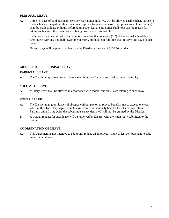#### **PERSONAL LEAVE**

A. Three (3) days of paid personal leave per year, noncumulative, will be allowed each teacher. Notice to the teacher's principal or other immediate superior for personal leave (except in cases of emergency) shall be made at least 24 hours before taking such leave. Said notice shall not state the reason for taking such leave other than that it is being taken under this Article.

Such leave may be claimed in increments of not less than one-half (1/2) of the normal school day. Employees working one-half  $(1/2)$  time or more, but less than full time shall receive one day of such leave.

Unused days will be purchased back by the District at the rate of \$100.00 per day.

#### **ARTICLE 16- UNPAID LEAVE**

#### **PARENTAL LEAVE**

A. The District may allow leave of absence without pay for reasons of adoption or maternity.

#### **MILITARY LEAVE**

A. Military leave shall be allowed in accordance with federal and state laws relating to such leave.

#### **OTHER LEAVE**

- A. The District may grant leaves of absence without pay or employee benefits, not to exceed one year, when in the District's judgment such leave would not seriously hamper the District operation. Partially unpaid time (with the substitute's salary deducted) will not be granted by the District.
- B. A written request for such leave will be reviewed by District with a written reply submitted to the teacher.

#### **COORDINATION OF LEAVE**

A. This agreement is not intended to add to nor reduce an employee's right to leave(s) pursuant to state and/or federal law.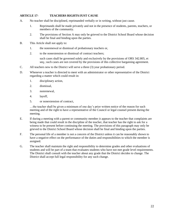## **ARTICLE 17- TEACHERS RIGHTS/JUST CAUSE**

- A. No teacher shall be disciplined, reprimanded verbally or in writing, without just cause.
	- 1. Reprimands shall be made privately and not in the presence of students, parents, teachers, or members of the community.
	- 2. The provisions of Section A may only be grieved to the District School Board whose decision shall be final and binding upon the parties.
- B. This Article shall not apply to:
	- 1. the nonrenewal or dismissal of probationary teachers or,
	- 2. to the nonextension or dismissal of contract teachers;

such cases shall be governed solely and exclusively by the provisions of ORS 342.805, et seq.; such cases are not covered by the provisions of this collective bargaining agreement.

- C. All teachers new to the District will serve a three (3) year probationary period.
- D. Whenever a teacher is directed to meet with an administrator or other representative of the District regarding a matter which could result in:
	- 1. disciplinary action,
	- 2. dismissal,
	- 3. nonrenewal,
	- 4. layoff,
	- 5. or nonextension of contract,

…the teacher shall be given a minimum of one day's prior written notice of the reason for such meeting and of the right to have a representative of the Council or legal counsel present during the meeting.

- E. If during a meeting with a parent or community member it appears to the teacher that complaints are being made that could result in the discipline of the teacher, that teacher has the right to ask for a witness to be present before continuing the meeting. The provisions of this paragraph may only be grieved to the District School Board whose decision shall be final and binding upon the parties.
- F. The personal life of a member is not a concern of the District unless it can be reasonably shown to have a negative effect on the performance of the duties and responsibilities to which the member is assigned.
- G. The teacher shall maintain the right and responsibility to determine grades and other evaluations of students and will be part of a team that evaluates students who have not met grade level requirements. The District shall consult with the teacher about any grade that the District decides to change. The District shall accept full legal responsibility for any such change.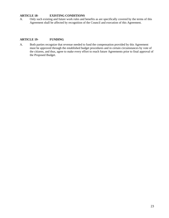#### **ARTICLE 18- EXISTING CONDITIONS**

A. Only such existing and future work rules and benefits as are specifically covered by the terms of this Agreement shall be affected by recognition of the Council and execution of this Agreement.

#### **ARTICLE 19- FUNDING**

A. Both parties recognize that revenue needed to fund the compensation provided by this Agreement must be approved through the established budget procedures and in certain circumstances by vote of the citizens, and thus, agree to make every effort to reach future Agreements prior to final approval of the Proposed Budget.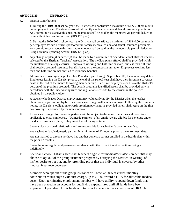#### **ARTICLE 20- INSURANCE**

A. District Contribution:

1. During the 2019-2020 school year, the District shall contribute a maximum of \$1275.00 per month per employee toward District-sponsored full family medical, vision and dental insurance premiums. Any premium costs above this maximum amount shall be paid by the members via payroll deduction using a flexible spending account (IRS 125 plan).

2. During the 2020-2021 school year, the District shall contribute a maximum of \$1340.00 per month per employee toward District-sponsored full family medical, vision and dental insurance premiums. Any premium costs above this maximum amount shall be paid by the members via payroll deduction using a flexible spending account (IRS 125 plan).

- B. Any change of plan(s) or carrier(s) shall be made by a committee of Sheridan School District teachers selected by the Sheridan Teachers' Association. The medical plans offered shall be provided within the limitations of a single carrier. Employees working one-half time or more, but less than full time shall receive prorated insurance benefits based on the composite unit rate. Employees working less than one-half time are not entitled to insurance benefits.
- C. All insurance coverages begin October  $1<sup>st</sup>$  and are paid through September  $30<sup>th</sup>$ , the anniversary dates. Employees leaving the District prior to the end of the school year shall have their insurance coverage cease at the end of the month following their departure. Part-time employees shall have the District's portion of the premium prorated. The benefit programs identified herein shall be provided only in accordance with the underwriting rules and regulations set forth by the carriers in the policies obtained by the policyholder.
- D. A teacher who leaves District employment may voluntarily notify the District when the teacher obtains a new job and is eligible for insurance coverage with a new employer. Following the teacher's notice, the District's obligation towards premium payments as provided herein shall cease on the first day coverage is provided by the new employer.
- E. Insurance coverages for domestic partners will be subject to the same limitations and conditions applicable to other employees. "Domestic partners" of an employee are eligible for coverage under the district insurance plans, if they meet the following criteria:

Share a close personal relationship and are responsible for each other's common welfare;

Are each other's sole domestic partner for a minimum of 12 months prior to the enrollment date;

Are not married to anyone nor have had another domestic partner enrolled in the health plan within the prior 12 months;

Share the same regular and permanent residence, with the current intent to continue doing so indefinitely.

F. Sheridan School District agrees that teachers eligible for medical/dental/vision benefits may choose to opt out of the group insurance program by notifying the District, in writing, of his/her desire to opt out, and by providing proof that the individual is covered by other medical insurance coverage.

Members who opt out of the group insurance will receive 50% of current monthly contribution minus any OEBB sure charge, up to \$100, toward a HRA for allowable medical costs. Upon terminating employment member will have ability to spend down funds that have been placed in an account for qualifying expenditures until all funds have been expended. Upon death HRA funds will transfer to beneficiaries as per rules of HRA plan.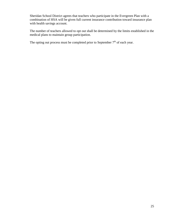Sheridan School District agrees that teachers who participate in the Evergreen Plan with a combination of HSA will be given full current insurance contribution toward insurance plan with health savings account.

The number of teachers allowed to opt out shall be determined by the limits established in the medical plans to maintain group participation.

The opting out process must be completed prior to September  $7<sup>th</sup>$  of each year.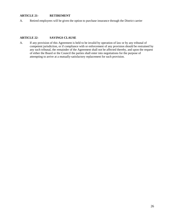## **ARTICLE 21- RETIREMENT**

A. Retired employees will be given the option to purchase insurance through the District carrier

#### **ARTICLE 22- SAVINGS CLAUSE**

A. If any provision of this Agreement is held to be invalid by operation of law or by any tribunal of competent jurisdiction, or if compliance with or enforcement of any provision should be restrained by any such tribunal, the remainder of the Agreement shall not be affected thereby, and upon the request of either the Board or the Council the parties shall enter into negotiations for the purpose of attempting to arrive at a mutually-satisfactory replacement for such provision.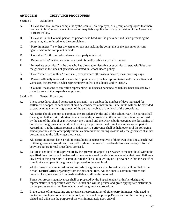## **ARTICLE 23- GRIEVANCE PROCEDURES**

#### Section I Definitions

- A. "Grievance" shall mean a complaint by the Council, an employee, or a group of employees that there has been to him/her or them a violation or inequitable application of any provision of the Agreement or Board Policy.
- B. "Grievant" is the Council, person, or persons who has/have the grievance and is/are presenting the complaint, also referred to as the complainant.
- C. "Party in interest" is either the person or persons making the complaint or the person or persons against whom the complaint is made.
- D. "Consultant" is the one who advises either party in interest.
- E. "Representative" is the one who may speak for and/or advise a party in interest.
- F. "Immediate supervisor" is the one who has direct administrative or supervisory responsibilities over the grievant in the areas of grievance as stated in School Board policy.
- G. "Days" when used in this Article shall, except where otherwise indicated, mean working days.
- H. "Persons officially involved" means the Superintendent, his/her representative and/or consultant and witnesses, the grievant, his/her representative and/or consultants, and witnesses.
- I. "Council" means the organization representing the licensed personnel which has been selected by a majority vote of the respective employees.

Section II General Provisions

- A. These procedures should be processed as rapidly as possible; the number of days indicated for settlement or appeal at each level should be considered a maximum. Time limits will not be extended except by mutual written agreement of the parties involved at any level of the procedures.
- B. All parties should attempt to complete the procedures by the end of the school year. The parties shall make good faith effort to shorten the number of days provided at the various steps in order to finish by the end of the school year. However, the Council and the District both recognize the desirability of not processing grievances that do not require prompt resolution during the summer recess period. Accordingly, at the written request of either party, a grievance shall be held over until the following school year unless the other party submits a memorandum stating reasons why the grievance shall not be continued to the following school year.
- C. All parties in interest have a right to consultants or representatives of their own choosing at each level of these grievance procedures. Every effort should be made to resolve differences through informal activities before formal procedures are used.
- D. Failure at any level of this procedure by the grievant to appeal a grievance to the next level within the specified time limits shall be deemed to be acceptance of the decision rendered at that level. Failure at any level of this procedure to communicate the decision in writing on a grievance within the specified time limits shall permit the grievant to proceed to the next level.
- E. All documents, communications and records of a grievance shall be written and will be filed in the School District Office separately from the personnel files. All documents, communications and records of a grievance shall be made available to all parties involved.
- F. Forms for processing grievances shall be prepared by the Superintendent or his/her designated representative in cooperation with the Council and will be printed and given appropriate distribution by the parties so as to facilitate operation of the grievance procedure.
- G. In the course of investigating any grievance, representatives of either party in interest who need to contact an employee, or student in school, will contact the principal/supervisor of the building being visited and will state the purpose of the visit immediately upon arrival.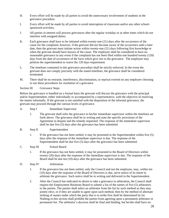- H. Every effort will be made by all parties to avoid the unnecessary involvement of students in the grievance procedure.
- I. Every effort will be made by all parties to avoid interruption of classroom and/or any other schoolsponsored activities.
- J. All parties in interest will process grievances after the regular workday or at other times which do not interfere with assigned duties.
- K. Each grievance shall have to be initiated within twenty-one (21) days after the occurrence of the cause for the complaint; however, if the grievant did not become aware of the occurrence until a later date, then the grievant must initiate action within twenty-one (21) days following first knowledge or when the grievant should have known of the cause. The employee shall be considered to have no reasonable grievance in any event if the complaint has not been filed within one hundred twenty (120) days from the date of occurrence of the facts which give rise to the grievance. The employee may petition the superintendent to waive the 120 days requirement.
- L. The timelines contained in this grievance procedure shall be strictly enforced. In the event the grievant does not comply precisely with the stated timelines, the grievance shall be considered terminated
- M. There shall be no restraint, interference, discrimination, or reprisal exerted on any employee choosing to use these procedures for resolution of a grievance.

Section III Grievance Steps

Before the grievance is handled on a formal basis the grievant will discuss the grievance with the principal and/or Superintendent, either individually or accompanied by a representative, with the objective of resolving the matter informally. If the grievant is not satisfied with the disposition of the informal grievance, the grievant may proceed through the various levels of grievance.

- A. Step I Immediate Supervisor
	- 1. The grievant shall refer the grievance to his/her immediate supervisor within the timelines set forth above. The grievance shall be in writing and state the specific provisions of the Agreement in dispute and the remedy requested. The response of the immediate supervisor shall be due five (5) days after the grievance has been submitted.
- B. Step II Superintendent
	- 1. If the grievance has not been settled, it may be presented to the Superintendent within five (5) days after the response of the immediate supervisor is due. The response of the Superintendent shall be due five (5) days after the grievance has been submitted.
- C. Step III School Board
	- 1. If the grievance has not been settled, it may be presented to the Board of Directors within twenty (20) days after the response of the immediate supervisor is due. The response of the Board shall be due ten (10) days after the grievance has been submitted.
- D. Step IV Arbitration
	- 1. If the grievance has not been settled, only the Council and not the employee, may, within ten (10) days after the response of the Board of Directors is due, serve notice of its intent to arbitrate the grievance. Such notice shall be in writing and delivered to the Superintendent.
	- 2. After the Council has indicated its desire to take a grievance to arbitration, the Council shall request the Employment Relations Board to submit a list of the names of five (5) arbitrators to the parties. The parties shall select an arbitrator from the list by such method as they may jointly elect, or if they are unable to agree upon such method, then by the method of alternate striking of names under which the party that is to strike first shall be determined by lot. Nothing in this section shall prohibit the parties from agreeing upon a permanent arbitrator or permanent list. The arbitrator's decision shall be final and binding, but he/she shall have no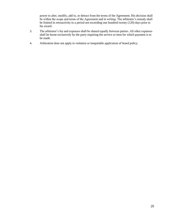power to alter, modify, add to, or detract from the terms of the Agreement. His decision shall be within the scope and terms of the Agreement and in writing. The arbitrator's remedy shall be limited in retroactivity to a period not exceeding one hundred twenty (120) days prior to his award.

- 3. The arbitrator's fee and expenses shall be shared equally between parties. All other expenses shall be borne exclusively by the party requiring the service or item for which payment is to be made.
- 4. Arbitration does not apply to violation or inequitable application of board policy.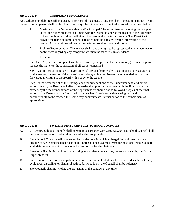## **ARTICLE 24- COMPLAINT PROCEDURE**

Any written complaint regarding a teacher's responsibilities made to any member of the administration by any parent, or other person shall, within five school days, be initiated according to the procedure outlined below:

- 1. Meeting with the Superintendent and/or Principal. The Administrator receiving the complaint and/or the Superintendent shall meet with the teacher to apprise the teacher of the full nature of the complaint, and they shall attempt to resolve the matter informally. The District will provide the name of complainant, date of complaint, and any written information to the teacher. Complaint procedures will remain informal vs. legal and formal.
- 2. Right to Representation. The teacher shall have the right to be represented at any meetings or conferences regarding any complaint at which the teacher is in attendance.
- 3. Procedure:

Step One: Any written complaint will be reviewed by the pertinent administrator(s) in an attempt to resolve the matter to the satisfaction of all parties concerned.

Step Two: If the superintendent and/or principal are unable to resolve a complaint to the satisfaction of the teacher, the results of the investigation, along with administrator recommendation, shall be forwarded in writing to the Board with a copy to the teacher.

Step Three: After receipt of the findings and recommendations of the Superintendent, and before action thereon, the Board shall afford the parties the opportunity to meet with the Board and show cause why the recommendations of the Superintendent should not be followed. Copies of the final action by the Board shall be forwarded to the teacher. Consistent with ensuring personal confidentiality to the teacher, the Board may communicate its final action to the complainant as appropriate.

#### **ARTICLE 25- TWENTY-FIRST CENTURY SCHOOL COUNCILS**

- A. 21 Century Schools Councils shall operate in accordance with ORS 329.704. No School Council shall be required to perform tasks other than what the law provides.
- B. Each School Council shall have secret ballot elections in which all bargaining unit members are eligible to participate (teacher positions). There shall be staggered terms for positions. Also, Councils shall determine a selection process and a term office for the chairperson.
- C. Site Council activities will not occur during any student contact time, unless approved by the District Superintendent.
- D. Participation or lack of participation in School Site Councils shall not be considered a subject for any evaluation, discipline, or dismissal action. Participation in the Council shall be voluntary.
- E. Site Councils shall not violate the provisions of the contract at any time.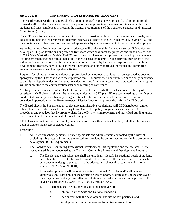## **ARTICLE 26- CONTINUING PROFESSIONAL DEVELOPMENT**

The Board recognizes the need to establish a continuing professional development (CPD) program for all licensed staff in order to enhance professional performance, promote achievement of high standards for all students and assist employees in meeting the licensure requirements of the Teachers Standards and Practices Commission (TSPC).

The CPD plans for teachers and administrators shall be consistent with the district's mission and goals, assist educators to meet the requirement for licensure renewal as identified in OAR Chapter 584, Division 090, and may contain such other provisions as deemed appropriate by mutual agreement of the District and employee.

At the beginning of each licensure cycle, an educator will confer with his/her supervisor or CPD advisor to develop a CPD plan for the ensuing three or five years which shall meet the purposes and standards set forth in OAR 584-090-0001 and 584-B090-0020. Activities shall have as their primary purpose improved student learning by enhancing the professional skills of the teacher/administrator. Such activities may relate to the individual's current or potential future assignment as determined by the District. Appropriate curriculum development, research, peer or student-teacher mentoring and other approved individual and committee endeavors are examples of acceptable activities.

Requests for release time for attendance at professional development activities may be approved as deemed appropriate by the District and with the stipulation that: 1) requests are to be submitted sufficiently in advance to permit the Superintendent or designee consideration; and 2) where release time is granted, a written report will be submitted to the administration after such meeting or conference.

Meetings or conferences for which District funds are contributed - whether for fees, travel or hiring of substitutes - shall directly relate to the teacher/administrator's CPD plan. Where such meetings or conferences are devoted primarily or exclusively to organizational or business affairs and like activities, it is not considered appropriate for the Board to expend District funds or to approve the activity for CPD credit.

The Board directs the Superintendent to develop administrative regulations, staff CPD handbooks, and/or other related materials as may be necessary to implement this policy. Regulations shall include CPD procedures and practices that incorporate plans for the District's improvement and individual building, grade level, student, and teacher/administrator needs and goals.

CPD plans shall not be part of an employee's evaluation. Since this is a teacher plan, it shall not be dependent upon or tied to student test scores/outcomes.

Procedures:

- 1. All District teachers, personnel service specialists and administrators contracted by the District, excluding substitutes, will follow the procedures provided below for meeting continuing professional development (CPD) requirements.
- 2. The Board policy Continuing Professional Development, this regulation and their related District issued materials are recognized as the District's Continuing Professional Development Program.
	- a. The District and each school site shall systematically identify instructional needs of students and relate those needs to the practices and CPD activities of the licensed staff so that each employee may design a plan to assist the educator to achieve district, state and national standards (OAR 584-090-0001).
	- b. Licensed employees shall maintain an active individual CPD plan and/or all licensed employees shall participate in the District's CPD program. Modifications of the employee's plan may be made at any time, after consultation with his/her supervisor or approved CPD advisor, as provided by OAR 584-090-00 10 through 0040.
		- 1. Each plan shall be designed to assist the employee to:
			- a. Achieve District, State and National standards;
			- b. Keep current with the development and use of best practices; and
			- c. Develop ways to enhance learning for a diverse student body.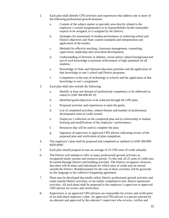- 2. Each plan shall identify CPD activities and experiences that address one or more of the following professional growth domains:
	- a. Content of the subject matter or specialty area directly related to the employee's current assignment(s) or to responsibilities he/she reasonably expects to be assigned, or is assigned by the District;
	- b. Strategies for assessment of student performance in achieving school and District objectives and State content standards and interpretation and application of the results;
	- c. Methods for effective teaching, classroom management, counseling, supervision, leadership and curriculum development;
	- d. Understanding of diversity in abilities, social and/or cultural background and use of such knowledge to promote achievement of high standards for all students;
	- e. Knowledge of State and National education priorities and the application of that knowledge to one's school and District programs;
	- f. Competence in the uses of technology in schools and the application of that knowledge to one's assignment.
- 3. Each plan shall also include the following:
	- a. Identify at least one domain of professional competency to be addressed as stated in OAR 584-090-00 10;
	- b. Identified goals/objectives to be achieved through the CPD plan;
	- c. Proposed activities and experiences to meet the goals;
	- d. List of completed activities, related domain and number of professional development units of credit earned;
	- e. Employee's reflection on the completed plan and its relationship to student learning and modifications of the employee's performance;
	- f. Resources that will be used to complete the plan;
	- g. Signature of supervisor or approved CPD advisor indicating review of the proposed plan and verification of plan completion.
- 4. The employee's plan shall be proposed and completed as outlined in OAR 584-090- 0020-0040.
- 5. Each plan should propose to earn an average of 25 CPD units of credit annually.
- 6. The District will attempt to offer as many professional growth activities as recognized needs warrant and resources permit. To this end, all 25 units of credit may be earned through District and building activities. The District recognizes, however, that there will be times and individuals for which units of credit may be earned outside the District. Reimbursement for the cost of these activities will be governed by the language in the collective bargaining agreement.
- 7. Plans may be developed that totally utilize District professional growth activities and some outside District activities, or are totally completed in non- district-sponsored activities. All such plans shall be proposed to the employee's supervisor or approved CPD advisor for review and verification.
- 8. Supervisors or an approved CPD advisors are responsible for review and verification of an individual employee's plan. An approved CPD advisor is a person selected by an educator and approved by the educator's supervisor who reviews, verifies and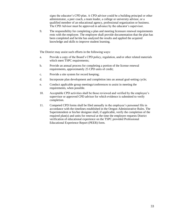signs the educator's CPD plan. A CPD advisor could be a building principal or other administrator, a peer coach, a team leader, a college or university advisor, or a qualified member of an educational agency, professional organization or business. The CPD Advisor must be approved in advance by the educator's supervisor.

9. The responsibility for completing a plan and meeting licensure renewal requirements rests with the employee. The employee shall provide documentation that the plan has been completed and he/she has analyzed the results and applied the acquired knowledge and skills to improve student learning.

The District may assist such efforts in the following ways:

- a. Provide a copy of the Board's CPD policy, regulation, and/or other related materials which meet TSPC requirements;
- b. Provide an annual process for completing a portion of the license renewal requirements, approximately 25 CPD units of credit;
- c. Provide a site system for record keeping;
- d. Incorporate plan development and completion into an annual goal-setting cycle;
- e. Conduct applicable group meetings/conferences to assist in meeting the requirements, when possible.
- 10. Acceptable CPD activities shall be those reviewed and verified by the employee's supervisor or approved CPD advisor for which evidence is submitted to verify completion.
- 11. Competed CPD forms shall be filed annually in the employee's personnel file in accordance with the timelines established in the Oregon Administrative Rules. The Superintendent or his/her designee shall, if applicable, verify the completion of the required plan(s) and units for renewal at the time the employee requests District verification of educational experience on the TSPC provided Professional Educational Experience Report (PEER) form.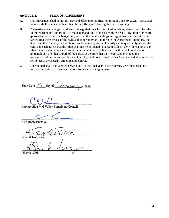## **ARTICLE 27- TERM OF AGREEMENT**

- A. This Agreement shall be in full force and effect upon ratification through June 30, 2021. Retroactive payment shall be made no later than thirty (30) days following the date of signing.
- B. The parties acknowledge that during the negotiations which resulted in this agreement, each had the unlimited right and opportunity to make demands and proposals with respect to any subject or matter appropriate for collective bargaining, and that the understandings and agreements arrived at by the parties after the exercise of the right and opportunity are set forth in the Agreement. Therefore, the Board and the Council, for the life of this Agreement, each voluntarily and unqualifiedly waives the right, and each agrees that the other shall not be obligated to bargain collectively with respect to any other matter, even though such subjects or matters may not have been within the knowledge or contemplation of either or both of the parties at the time that they negotiated or signed this Agreement. All terms and conditions of employment not covered by this Agreement shall continue to be subject to the Board's direction and control.
- C. The Council shall, not later than March  $30<sup>th</sup>$  of the final year of the contract, give the District its notice of intention to open negotiations for a successor agreement.

Signed this  $\frac{1}{9}$  day of  $\frac{1}{2}$  or  $\frac{1}{2020}$ .

Representing Mid-Valley Bargaining Council

STA Representative

Board/Chairperson

District Clerk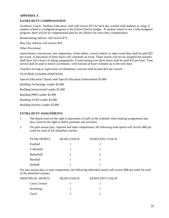#### **APPENDIX A**

#### **EXTRA DUTY COMPENSATION**

Academic Coach: Outdoor Education: staff will receive \$75 for each day worked with students at camp, if outdoor school is a budgeted program in the School District budget. If outdoor school is not a fully budgeted program, there will be no compensation paid by the District for extra-duty compensation.

Homecoming Advisor will receive \$75.

May Day Advisor will receive \$50.

Other Provisions:

Junior/Senior concessions, bus chaperones, ticket sellers, crowd control, or other event duty shall be paid \$25 per event. A maximum of three hours will constitute an event. These events will not be assigned but teachers shall have first choice of taking assignments. Events lasting over three hours shall be paid \$10 per hour. Time served shall be paid in hourly increments, with fraction of hours rounded up to the next hour.

Teachers serving as supervisors of elementary concerts shall be paid \$25 per concert.

#### TEACHER LEADER POSITIONS

Special Education Classes with Special Education Endorsement \$3,000

Building Technology Leader \$2,000

Building Instructional Leader \$2,000

Building PBIS Leader \$2,000

Building AVID Leader \$2,000

Building Poverty Leader \$2,000

#### **EXTRA DUTY ASSIGNMENTS**

- 1. The Board reserves the right to placement of staff on the schedule when making assignments and, also, reserves the right to delete positions and activities.
- 2. For post season play, regional and state competitions, the following team sports will receive \$80 per week for each of the identified coaches.

| <b>TEAM SPORTS</b> | <b>HEAD COACH</b> | <b>ASSISTANT COACH</b>      |
|--------------------|-------------------|-----------------------------|
| Football           |                   | $\mathcal{D}_{\mathcal{L}}$ |
| Volleyball         |                   |                             |
| Basketball         |                   | $\mathcal{D}_{\mathcal{L}}$ |
| Baseball           |                   |                             |
| Softball           |                   |                             |

For post season play in state competition, the following individual sports will receive \$80 per week for each of the identified coaches.

| <b>INDIVIDUAL SPORTS</b> | <b>HEAD COACH</b> | <b>ASSISTANT COACH</b> |
|--------------------------|-------------------|------------------------|
| <b>Cross Country</b>     |                   |                        |
| Wrestling                |                   |                        |
| Track                    |                   |                        |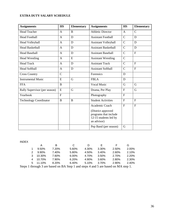## **EXTRA DUTY SALARY SCHEDULE**

| <b>Assignments</b>            | <b>HS</b>      | <b>Elementary</b> | <b>Assignments</b>                                                                  | <b>HS</b>      | <b>Elementary</b> |
|-------------------------------|----------------|-------------------|-------------------------------------------------------------------------------------|----------------|-------------------|
| <b>Head Teacher</b>           | A              | B                 | <b>Athletic Director</b>                                                            | A              | $\mathcal{C}$     |
| <b>Head Football</b>          | A              | D                 | <b>Assistant Football</b>                                                           | $\mathbf C$    | D                 |
| Head Volleyball               | $\mathbf{A}$   | D                 | <b>Assistant Volleyball</b>                                                         | $\overline{C}$ | D                 |
| <b>Head Basketball</b>        | $\mathbf{A}$   | D                 | <b>Assistant Basketball</b>                                                         | $\mathbf C$    | D                 |
| <b>Head Baseball</b>          | A              | D                 | <b>Assistant Baseball</b>                                                           | $\mathcal{C}$  | $\mathbf{F}$      |
| <b>Head Wrestling</b>         | $\mathbf{A}$   | E                 | <b>Assistant Wrestling</b>                                                          | $\mathbf C$    |                   |
| <b>Head Track</b>             | $\mathbf{A}$   | D                 | <b>Assistant Track</b>                                                              | $\mathbf C$    | $\overline{F}$    |
| <b>Head Softball</b>          | A              | D                 | <b>Assistant Softball</b>                                                           | $\mathcal{C}$  | $\overline{F}$    |
| <b>Cross Country</b>          | $\mathbf C$    |                   | Forensics                                                                           | D              |                   |
| <b>Instrumental Music</b>     | E              | G                 | <b>FBLA</b>                                                                         | D              |                   |
| <b>FFA</b>                    | $\bf{B}$       |                   | <b>Vocal Music</b>                                                                  | G              | G                 |
| Rally Supervisor (per season) | E              | G                 | Drama, Per Play                                                                     | $\overline{F}$ | G                 |
| Yearbook                      | $\overline{F}$ |                   | Photography                                                                         | $\overline{F}$ |                   |
| <b>Technology Coordinator</b> | $\bf{B}$       | B                 | <b>Student Activities</b>                                                           | $\mathbf{F}$   | $\mathbf{F}$      |
|                               |                |                   | Academic Coach                                                                      | $\mathbf{F}$   | $\mathbf{F}$      |
|                               |                |                   | (District approved<br>programs that include<br>12-15 students led by<br>an advisor) |                |                   |
|                               |                |                   | Pep Band (per season)                                                               | G              |                   |

INDEX

|    |          | в     | C     | Đ     | н.       |       | G     |
|----|----------|-------|-------|-------|----------|-------|-------|
|    | 9.50%    | 7.20% | 5.60% | 4.30% | 3.30%    | 2.50% | 2.00% |
| 2. | $9.90\%$ | 7.40% | 5.80% | 4.50% | $3.40\%$ | 2.60% | 2.10% |
| 3  | 10.30%   | 7.60% | 6.00% | 4.70% | 3.50%    | 2.70% | 2.20% |
|    | 4 10.70% | 7.90% | 6.20% | 4.90% | 3.60%    | 2.80% | 2.30% |
|    | 5 11.10% | 8.20% | 6.40% | 5.10% | 3.70%    | 2.90% | 2.40% |
|    |          |       |       |       |          |       |       |

Steps 1 through 3 are based on BA Step 1 and steps 4 and 5 are based on MA step 1.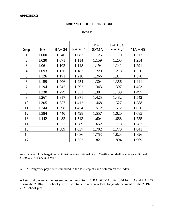#### **SHERIDAN SCHOOL DISTRICT 48J**

## **INDEX**

|                |           |         |           | $BA+$ | $BA + 84/$ |           |
|----------------|-----------|---------|-----------|-------|------------|-----------|
| Step           | <b>BA</b> | $BA+24$ | $BA + 45$ | 60/MA | $MA + 24$  | $MA + 45$ |
| 1              | 1.000     | 1.040   | 1.082     | 1.125 | 1.170      | 1.217     |
| $\overline{2}$ | 1.030     | 1.071   | 1.114     | 1.159 | 1.205      | 1.254     |
| 3              | 1.061     | 1.103   | 1.148     | 1.194 | 1.241      | 1.291     |
| $\overline{4}$ | 1.093     | 1.136   | 1.182     | 1.229 | 1.278      | 1.330     |
| 5              | 1.126     | 1.171   | 1.218     | 1.266 | 1.317      | 1.370     |
| 6              | 1.159     | 1.206   | 1.254     | 1.304 | 1.356      | 1.411     |
| 7              | 1.194     | 1.242   | 1.292     | 1.343 | 1.397      | 1.453     |
| 8              | 1.230     | 1.279   | 1.331     | 1.384 | 1.439      | 1.497     |
| 9              | 1.267     | 1.317   | 1.371     | 1.425 | 1.482      | 1.542     |
| 10             | 1.305     | 1.357   | 1.412     | 1.468 | 1.527      | 1.588     |
| 11             | 1.344     | 1.398   | 1.454     | 1.512 | 1.572      | 1.636     |
| 12             | 1.384     | 1.440   | 1.498     | 1.557 | 1.620      | 1.685     |
| 13             | 1.442     | 1.483   | 1.543     | 1.604 | 1.668      | 1.735     |
| 14             |           | 1.527   | 1.589     | 1.652 | 1.718      | 1.787     |
| 15             |           | 1.589   | 1.637     | 1.702 | 1.770      | 1.841     |
| 16             |           |         | 1.686     | 1.753 | 1.823      | 1.896     |
| 17             |           |         | 1.752     | 1.821 | 1.894      | 1.969     |

Any member of the bargaining unit that receives National Board Certification shall receive an additional \$1,500.00 in salary each year.

A 1.6% longevity payment is included in the last step of each column on the index.

All staff who were at the last step of columns BA +45, BA +60/MA, BA +85/MA + 24 and MA +45 during the 2018-2019 school year will continue to receive a \$500 longevity payment for the 2019- 2020 school year.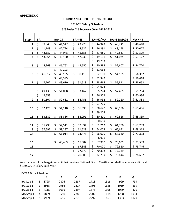## **APPENDIX C**

## **SHERIDAN SCHOOL DISTRICT 48J**

## **2019-20 Salary Schedule**

## **3% Index 2.6 Increase Over 2018-2019**

| <b>Step</b>             | <b>BA</b> |        | <b>BA+24</b> | $BA + 45$    | <b>BA+60/MA</b> | <b>BA+84/MA24</b> | $MA + 45$     |
|-------------------------|-----------|--------|--------------|--------------|-----------------|-------------------|---------------|
| 1                       | \$        | 39,949 | \$<br>41,547 | \$<br>43,225 | \$<br>44,943    | \$<br>46,741      | \$48,618      |
| $\overline{2}$          | \$        | 41,148 | \$<br>42,794 | \$<br>44,522 | \$<br>46,291    | \$<br>48,143      | \$<br>50,077  |
| 3                       | \$        | 42,382 | \$<br>44,078 | \$<br>45,858 | \$<br>47,680    | \$<br>49,587      | \$ 51,579     |
| 4                       | \$        | 43,654 | \$<br>45,400 | \$<br>47,233 | \$<br>49,111    | \$<br>51,075      | \$53,127      |
|                         |           |        |              |              | \$<br>49,793    |                   |               |
| 5                       | \$        | 44,963 | \$<br>46,762 | \$<br>48,650 | \$<br>50,584    | \$<br>52,607      | \$54,720      |
|                         |           |        | \$<br>47,203 |              | \$<br>51,068    |                   |               |
| 6                       | \$        | 46,312 | \$<br>48,165 | \$<br>50,110 | \$<br>52,101    | \$<br>54,185      | \$56,362      |
|                         |           |        | \$<br>48,395 |              | \$<br>52,342    |                   | \$.<br>56,618 |
| $\overline{\mathbf{z}}$ | \$        | 47,702 | \$<br>49,610 | \$<br>51,613 | \$<br>53,664    | \$<br>55,811      | \$58,053      |
|                         |           |        |              |              | \$<br>54,974    |                   |               |
| 8                       | \$        | 49,133 | \$<br>51,098 | \$<br>53,162 | \$<br>55,274    | \$<br>57,485      | \$59,794      |
|                         | \$        | 49,553 |              |              | \$<br>56,372    |                   | \$60,936      |
| 9                       | \$        | 50,607 | \$<br>52,631 | \$<br>54,756 | \$<br>56,932    | \$<br>59,210      | \$61,588      |
|                         |           |        |              |              | \$<br>57,769    |                   |               |
| 10                      | \$        | 52,125 | \$<br>54,210 | \$<br>56,399 | \$<br>58,640    | \$<br>60,986      | \$63,436      |
|                         |           |        |              |              | \$<br>59,208    |                   |               |
| 11                      | \$        | 53,689 | \$<br>55,836 | \$<br>58,091 | \$<br>60,400    | \$<br>62,816      | \$65,339      |
|                         |           |        |              |              | \$<br>60,689    |                   |               |
| 12                      | \$        | 55,299 | \$<br>57,511 | \$<br>59,834 | \$<br>62,212    | \$<br>64,700      | \$67,299      |
| 13                      | \$        | 57,597 | \$<br>59,237 | \$<br>61,629 | \$<br>64,078    | \$<br>66,641      | \$69,318      |
| 14                      |           |        | \$<br>61,014 | \$<br>63,478 | \$<br>66,000    | \$<br>68,640      | \$71,398      |
|                         |           |        |              |              | \$<br>66,979    |                   |               |
| 15                      |           |        | \$<br>63,483 | \$<br>65,382 | \$<br>67,980    | \$<br>70,699      | \$73,539      |
| 16                      |           |        |              | \$<br>67,343 | \$<br>70,020    | \$<br>72,820      | \$75,746      |
|                         |           |        |              | \$<br>67,679 | \$<br>70,392    | \$<br>73,189      |               |
| 17                      |           |        |              | \$<br>70,003 | \$<br>72,759    | \$<br>75,644      | \$78,657      |

Any member of the bargaining unit that receives National Board Certification shall receive an additional \$1,500.00 in salary each year.

## EXTRA Duty Schedule A B C D E F G

| BA Step 1 | $\mathbf{1}$ | - 3795 | 2876 | 2237 | 1718 | 1318 | 999  | 799  |
|-----------|--------------|--------|------|------|------|------|------|------|
| BA Step 1 | 2            | - 3955 | 2956 | 2317 | 1798 | 1358 | 1039 | 839  |
| BA Step 1 |              | 3 4115 | 3036 | 2397 | 1878 | 1398 | 1079 | 879  |
| MA Step 1 | 4            | 4809   | 3550 | 2786 | 2202 | 1618 | 1258 | 1034 |
| MA Step 1 | 5.           | 4989   | 3685 | 2876 | 2292 | 1663 | 1303 | 1079 |
|           |              |        |      |      |      |      |      |      |